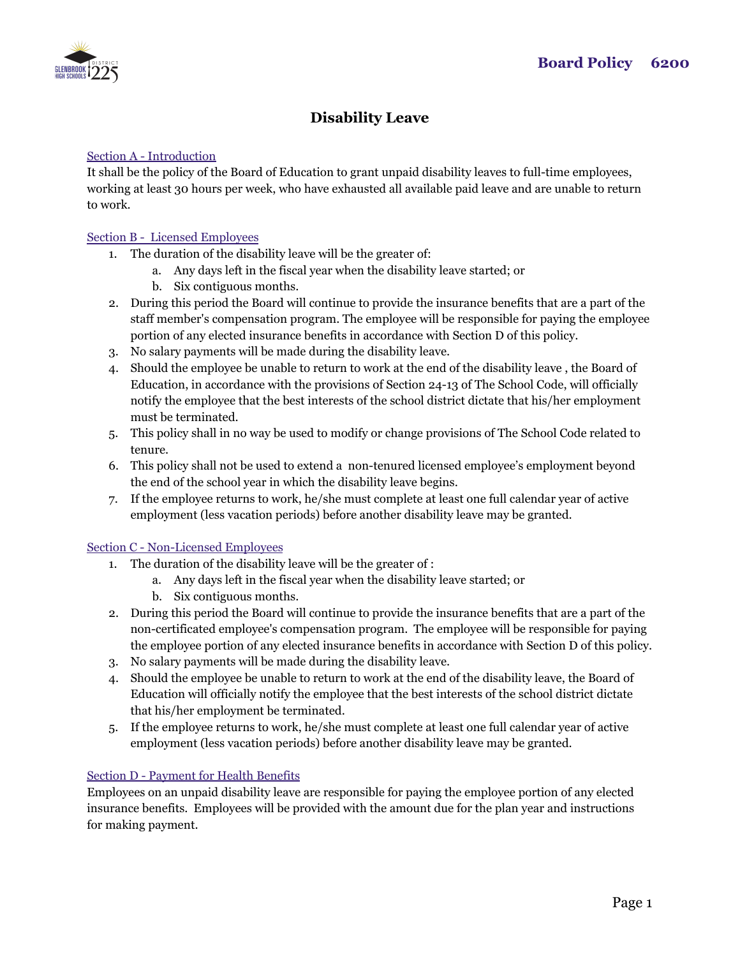

# **Disability Leave**

## Section A - Introduction

It shall be the policy of the Board of Education to grant unpaid disability leaves to full-time employees, working at least 30 hours per week, who have exhausted all available paid leave and are unable to return to work.

### Section B - Licensed Employees

- 1. The duration of the disability leave will be the greater of:
	- a. Any days left in the fiscal year when the disability leave started; or
	- b. Six contiguous months.
- 2. During this period the Board will continue to provide the insurance benefits that are a part of the staff member's compensation program. The employee will be responsible for paying the employee portion of any elected insurance benefits in accordance with Section D of this policy.
- 3. No salary payments will be made during the disability leave.
- 4. Should the employee be unable to return to work at the end of the disability leave , the Board of Education, in accordance with the provisions of Section 24-13 of The School Code, will officially notify the employee that the best interests of the school district dictate that his/her employment must be terminated.
- 5. This policy shall in no way be used to modify or change provisions of The School Code related to tenure.
- 6. This policy shall not be used to extend a non-tenured licensed employee's employment beyond the end of the school year in which the disability leave begins.
- 7. If the employee returns to work, he/she must complete at least one full calendar year of active employment (less vacation periods) before another disability leave may be granted.

#### Section C - Non-Licensed Employees

- 1. The duration of the disability leave will be the greater of :
	- a. Any days left in the fiscal year when the disability leave started; or
	- b. Six contiguous months.
- 2. During this period the Board will continue to provide the insurance benefits that are a part of the non-certificated employee's compensation program. The employee will be responsible for paying the employee portion of any elected insurance benefits in accordance with Section D of this policy.
- 3. No salary payments will be made during the disability leave.
- 4. Should the employee be unable to return to work at the end of the disability leave, the Board of Education will officially notify the employee that the best interests of the school district dictate that his/her employment be terminated.
- 5. If the employee returns to work, he/she must complete at least one full calendar year of active employment (less vacation periods) before another disability leave may be granted.

## Section D - Payment for Health Benefits

Employees on an unpaid disability leave are responsible for paying the employee portion of any elected insurance benefits. Employees will be provided with the amount due for the plan year and instructions for making payment.